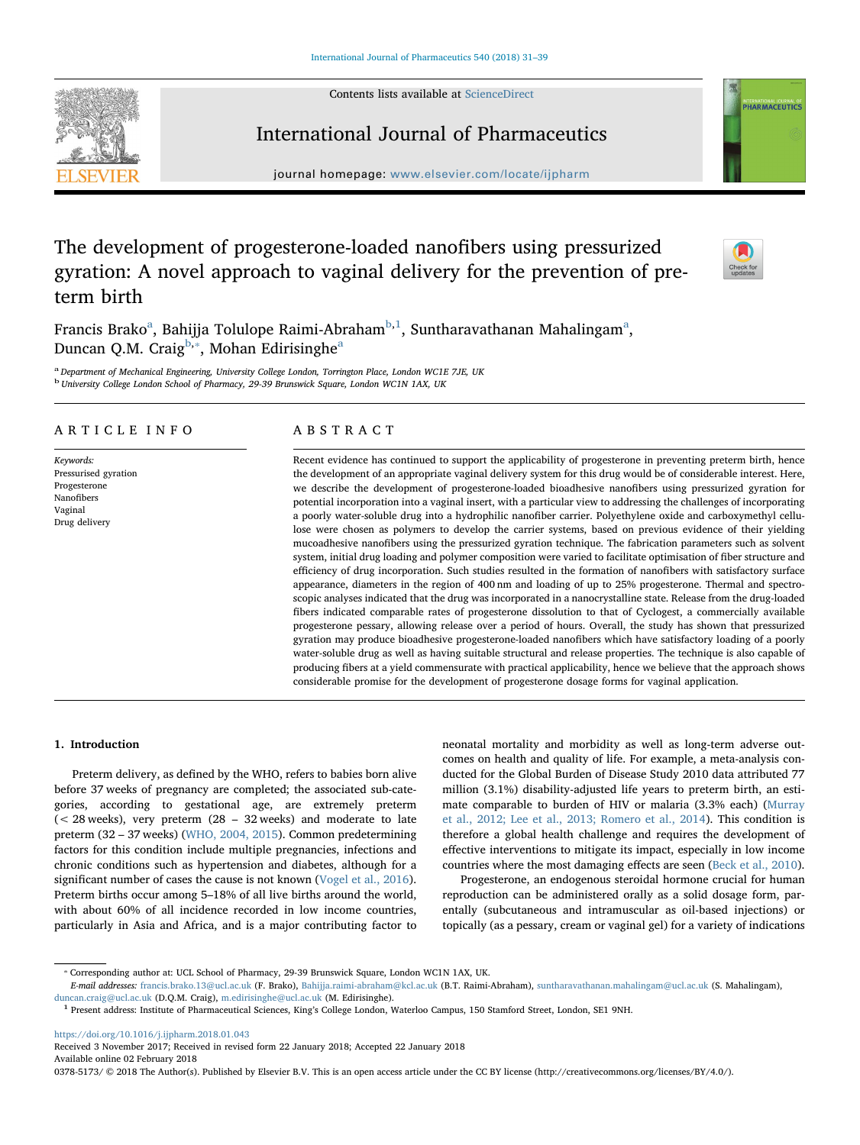Contents lists available at [ScienceDirect](http://www.sciencedirect.com/science/journal/03785173)

International Journal of Pharmaceutics



# NTERNATIONAL JOURNAL OF<br>PHARMACEUTICS

journal homepage: [www.elsevier.com/locate/ijpharm](https://www.elsevier.com/locate/ijpharm)

# The development of progesterone-loaded nanofibers using pressurized gyration: A novel approach to vaginal delivery for the prevention of preterm birth



Fr[a](#page-0-0)ncis Brako $^{\rm a}$ , Bahijja Tolulope Raimi-Abraham $^{\rm b,1}$  $^{\rm b,1}$  $^{\rm b,1}$  $^{\rm b,1}$ , Suntharavathanan Mahalingam $^{\rm a}$ , Duncan Q.M. Craig<sup>[b](#page-0-1),\*</sup>, Moh[a](#page-0-0)n Edirisinghe<sup>a</sup>

<span id="page-0-1"></span><span id="page-0-0"></span>a Department of Mechanical Engineering, University College London, Torrington Place, London WC1E 7JE, UK <sup>b</sup> University College London School of Pharmacy, 29-39 Brunswick Square, London WC1N 1AX, UK

### ARTICLE INFO

Keywords: Pressurised gyration Progesterone Nanofibers Vaginal Drug delivery

## ABSTRACT

Recent evidence has continued to support the applicability of progesterone in preventing preterm birth, hence the development of an appropriate vaginal delivery system for this drug would be of considerable interest. Here, we describe the development of progesterone-loaded bioadhesive nanofibers using pressurized gyration for potential incorporation into a vaginal insert, with a particular view to addressing the challenges of incorporating a poorly water-soluble drug into a hydrophilic nanofiber carrier. Polyethylene oxide and carboxymethyl cellulose were chosen as polymers to develop the carrier systems, based on previous evidence of their yielding mucoadhesive nanofibers using the pressurized gyration technique. The fabrication parameters such as solvent system, initial drug loading and polymer composition were varied to facilitate optimisation of fiber structure and efficiency of drug incorporation. Such studies resulted in the formation of nanofibers with satisfactory surface appearance, diameters in the region of 400 nm and loading of up to 25% progesterone. Thermal and spectroscopic analyses indicated that the drug was incorporated in a nanocrystalline state. Release from the drug-loaded fibers indicated comparable rates of progesterone dissolution to that of Cyclogest, a commercially available progesterone pessary, allowing release over a period of hours. Overall, the study has shown that pressurized gyration may produce bioadhesive progesterone-loaded nanofibers which have satisfactory loading of a poorly water-soluble drug as well as having suitable structural and release properties. The technique is also capable of producing fibers at a yield commensurate with practical applicability, hence we believe that the approach shows considerable promise for the development of progesterone dosage forms for vaginal application.

### 1. Introduction

Preterm delivery, as defined by the WHO, refers to babies born alive before 37 weeks of pregnancy are completed; the associated sub-categories, according to gestational age, are extremely preterm (< 28 weeks), very preterm (28 – 32 weeks) and moderate to late preterm (32 – 37 weeks) ([WHO, 2004, 2015\)](#page-8-0). Common predetermining factors for this condition include multiple pregnancies, infections and chronic conditions such as hypertension and diabetes, although for a significant number of cases the cause is not known [\(Vogel et al., 2016](#page-8-1)). Preterm births occur among 5–18% of all live births around the world, with about 60% of all incidence recorded in low income countries, particularly in Asia and Africa, and is a major contributing factor to neonatal mortality and morbidity as well as long-term adverse outcomes on health and quality of life. For example, a meta-analysis conducted for the Global Burden of Disease Study 2010 data attributed 77 million (3.1%) disability-adjusted life years to preterm birth, an estimate comparable to burden of HIV or malaria (3.3% each) ([Murray](#page-7-0) [et al., 2012; Lee et al., 2013; Romero et al., 2014\)](#page-7-0). This condition is therefore a global health challenge and requires the development of effective interventions to mitigate its impact, especially in low income countries where the most damaging effects are seen ([Beck et al., 2010](#page-7-1)).

Progesterone, an endogenous steroidal hormone crucial for human reproduction can be administered orally as a solid dosage form, parentally (subcutaneous and intramuscular as oil-based injections) or topically (as a pessary, cream or vaginal gel) for a variety of indications

<https://doi.org/10.1016/j.ijpharm.2018.01.043>

Received 3 November 2017; Received in revised form 22 January 2018; Accepted 22 January 2018 Available online 02 February 2018

0378-5173/ © 2018 The Author(s). Published by Elsevier B.V. This is an open access article under the CC BY license (http://creativecommons.org/licenses/BY/4.0/).

<span id="page-0-3"></span><sup>⁎</sup> Corresponding author at: UCL School of Pharmacy, 29-39 Brunswick Square, London WC1N 1AX, UK.

E-mail addresses: [francis.brako.13@ucl.ac.uk](mailto:francis.brako.13@ucl.ac.uk) (F. Brako), [Bahijja.raimi-abraham@kcl.ac.uk](mailto:Bahijja.raimi-abraham@kcl.ac.uk) (B.T. Raimi-Abraham), [suntharavathanan.mahalingam@ucl.ac.uk](mailto:suntharavathanan.mahalingam@ucl.ac.uk) (S. Mahalingam), [duncan.craig@ucl.ac.uk](mailto:duncan.craig@ucl.ac.uk) (D.Q.M. Craig), [m.edirisinghe@ucl.ac.uk](mailto:m.edirisinghe@ucl.ac.uk) (M. Edirisinghe).

<span id="page-0-2"></span><sup>1</sup> Present address: Institute of Pharmaceutical Sciences, King's College London, Waterloo Campus, 150 Stamford Street, London, SE1 9NH.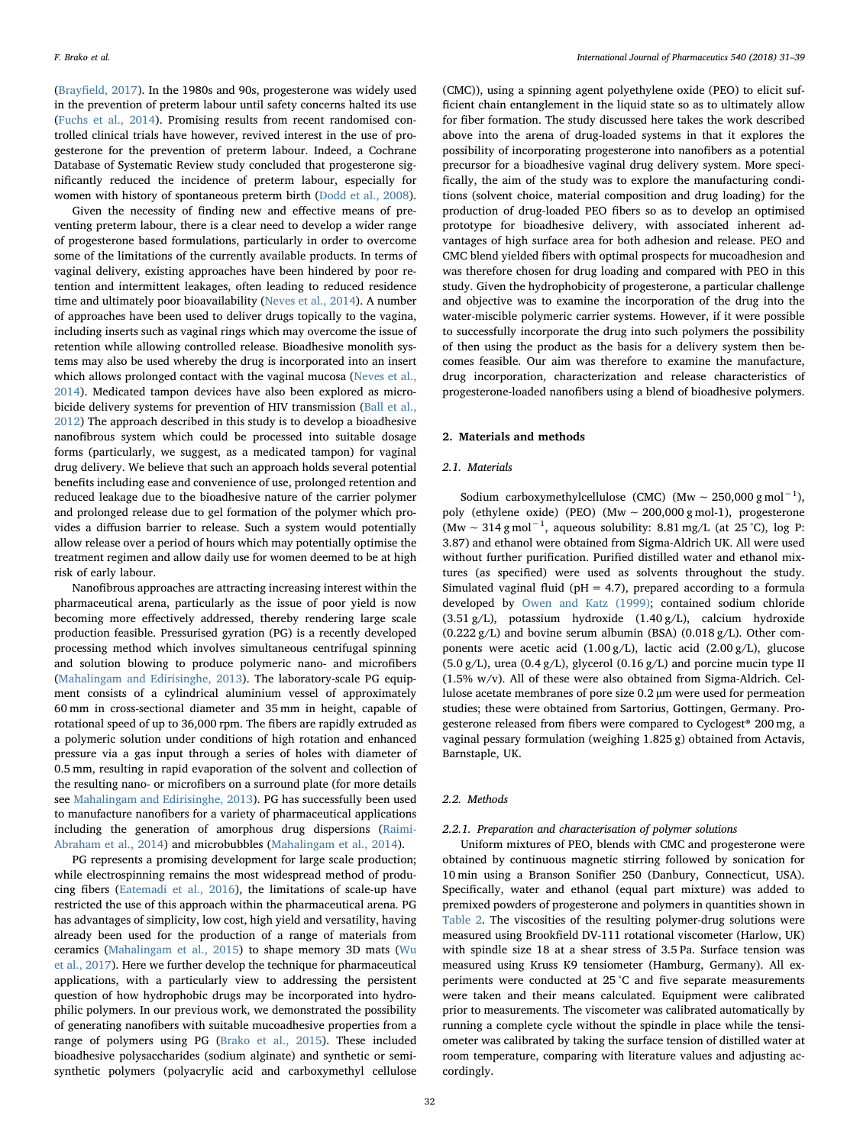(Brayfi[eld, 2017](#page-7-2)). In the 1980s and 90s, progesterone was widely used in the prevention of preterm labour until safety concerns halted its use ([Fuchs et al., 2014](#page-7-3)). Promising results from recent randomised controlled clinical trials have however, revived interest in the use of progesterone for the prevention of preterm labour. Indeed, a Cochrane Database of Systematic Review study concluded that progesterone significantly reduced the incidence of preterm labour, especially for women with history of spontaneous preterm birth [\(Dodd et al., 2008](#page-7-4)).

Given the necessity of finding new and effective means of preventing preterm labour, there is a clear need to develop a wider range of progesterone based formulations, particularly in order to overcome some of the limitations of the currently available products. In terms of vaginal delivery, existing approaches have been hindered by poor retention and intermittent leakages, often leading to reduced residence time and ultimately poor bioavailability ([Neves et al., 2014](#page-8-2)). A number of approaches have been used to deliver drugs topically to the vagina, including inserts such as vaginal rings which may overcome the issue of retention while allowing controlled release. Bioadhesive monolith systems may also be used whereby the drug is incorporated into an insert which allows prolonged contact with the vaginal mucosa [\(Neves et al.,](#page-8-2) [2014\)](#page-8-2). Medicated tampon devices have also been explored as microbicide delivery systems for prevention of HIV transmission [\(Ball et al.,](#page-7-5) [2012\)](#page-7-5) The approach described in this study is to develop a bioadhesive nanofibrous system which could be processed into suitable dosage forms (particularly, we suggest, as a medicated tampon) for vaginal drug delivery. We believe that such an approach holds several potential benefits including ease and convenience of use, prolonged retention and reduced leakage due to the bioadhesive nature of the carrier polymer and prolonged release due to gel formation of the polymer which provides a diffusion barrier to release. Such a system would potentially allow release over a period of hours which may potentially optimise the treatment regimen and allow daily use for women deemed to be at high risk of early labour.

Nanofibrous approaches are attracting increasing interest within the pharmaceutical arena, particularly as the issue of poor yield is now becoming more effectively addressed, thereby rendering large scale production feasible. Pressurised gyration (PG) is a recently developed processing method which involves simultaneous centrifugal spinning and solution blowing to produce polymeric nano- and microfibers ([Mahalingam and Edirisinghe, 2013\)](#page-7-6). The laboratory-scale PG equipment consists of a cylindrical aluminium vessel of approximately 60 mm in cross-sectional diameter and 35 mm in height, capable of rotational speed of up to 36,000 rpm. The fibers are rapidly extruded as a polymeric solution under conditions of high rotation and enhanced pressure via a gas input through a series of holes with diameter of 0.5 mm, resulting in rapid evaporation of the solvent and collection of the resulting nano- or microfibers on a surround plate (for more details see [Mahalingam and Edirisinghe, 2013](#page-7-6)). PG has successfully been used to manufacture nanofibers for a variety of pharmaceutical applications including the generation of amorphous drug dispersions [\(Raimi-](#page-8-3)[Abraham et al., 2014](#page-8-3)) and microbubbles [\(Mahalingam et al., 2014](#page-7-7)).

PG represents a promising development for large scale production; while electrospinning remains the most widespread method of producing fibers (Eatemadi [et al., 2016\)](#page-7-8), the limitations of scale-up have restricted the use of this approach within the pharmaceutical arena. PG has advantages of simplicity, low cost, high yield and versatility, having already been used for the production of a range of materials from ceramics [\(Mahalingam et al., 2015\)](#page-7-9) to shape memory 3D mats ([Wu](#page-8-4) [et al., 2017](#page-8-4)). Here we further develop the technique for pharmaceutical applications, with a particularly view to addressing the persistent question of how hydrophobic drugs may be incorporated into hydrophilic polymers. In our previous work, we demonstrated the possibility of generating nanofibers with suitable mucoadhesive properties from a range of polymers using PG ([Brako et al., 2015](#page-7-10)). These included bioadhesive polysaccharides (sodium alginate) and synthetic or semisynthetic polymers (polyacrylic acid and carboxymethyl cellulose

(CMC)), using a spinning agent polyethylene oxide (PEO) to elicit sufficient chain entanglement in the liquid state so as to ultimately allow for fiber formation. The study discussed here takes the work described above into the arena of drug-loaded systems in that it explores the possibility of incorporating progesterone into nanofibers as a potential precursor for a bioadhesive vaginal drug delivery system. More specifically, the aim of the study was to explore the manufacturing conditions (solvent choice, material composition and drug loading) for the production of drug-loaded PEO fibers so as to develop an optimised prototype for bioadhesive delivery, with associated inherent advantages of high surface area for both adhesion and release. PEO and CMC blend yielded fibers with optimal prospects for mucoadhesion and was therefore chosen for drug loading and compared with PEO in this study. Given the hydrophobicity of progesterone, a particular challenge and objective was to examine the incorporation of the drug into the water-miscible polymeric carrier systems. However, if it were possible to successfully incorporate the drug into such polymers the possibility of then using the product as the basis for a delivery system then becomes feasible. Our aim was therefore to examine the manufacture, drug incorporation, characterization and release characteristics of progesterone-loaded nanofibers using a blend of bioadhesive polymers.

### 2. Materials and methods

### 2.1. Materials

Sodium carboxymethylcellulose (CMC) (Mw  $\sim 250,000 \text{ g mol}^{-1}$ ), poly (ethylene oxide) (PEO) (Mw ∼ 200,000 g mol-1), progesterone (Mw ~ 314 g mol<sup>-1</sup>, aqueous solubility: 8.81 mg/L (at 25 °C), log P: 3.87) and ethanol were obtained from Sigma-Aldrich UK. All were used without further purification. Purified distilled water and ethanol mixtures (as specified) were used as solvents throughout the study. Simulated vaginal fluid ( $pH = 4.7$ ), prepared according to a formula developed by [Owen and Katz \(1999\)](#page-8-5); contained sodium chloride (3.51 g/L), potassium hydroxide (1.40 g/L), calcium hydroxide  $(0.222 g/L)$  and bovine serum albumin (BSA)  $(0.018 g/L)$ . Other components were acetic acid (1.00 g/L), lactic acid (2.00 g/L), glucose  $(5.0 g/L)$ , urea  $(0.4 g/L)$ , glycerol  $(0.16 g/L)$  and porcine mucin type II (1.5% w/v). All of these were also obtained from Sigma-Aldrich. Cellulose acetate membranes of pore size 0.2 µm were used for permeation studies; these were obtained from Sartorius, Gottingen, Germany. Progesterone released from fibers were compared to Cyclogest® 200 mg, a vaginal pessary formulation (weighing 1.825 g) obtained from Actavis, Barnstaple, UK.

### 2.2. Methods

### 2.2.1. Preparation and characterisation of polymer solutions

Uniform mixtures of PEO, blends with CMC and progesterone were obtained by continuous magnetic stirring followed by sonication for 10 min using a Branson Sonifier 250 (Danbury, Connecticut, USA). Specifically, water and ethanol (equal part mixture) was added to premixed powders of progesterone and polymers in quantities shown in [Table 2.](#page-2-0) The viscosities of the resulting polymer-drug solutions were measured using Brookfield DV-111 rotational viscometer (Harlow, UK) with spindle size 18 at a shear stress of 3.5 Pa. Surface tension was measured using Kruss K9 tensiometer (Hamburg, Germany). All experiments were conducted at 25 °C and five separate measurements were taken and their means calculated. Equipment were calibrated prior to measurements. The viscometer was calibrated automatically by running a complete cycle without the spindle in place while the tensiometer was calibrated by taking the surface tension of distilled water at room temperature, comparing with literature values and adjusting accordingly.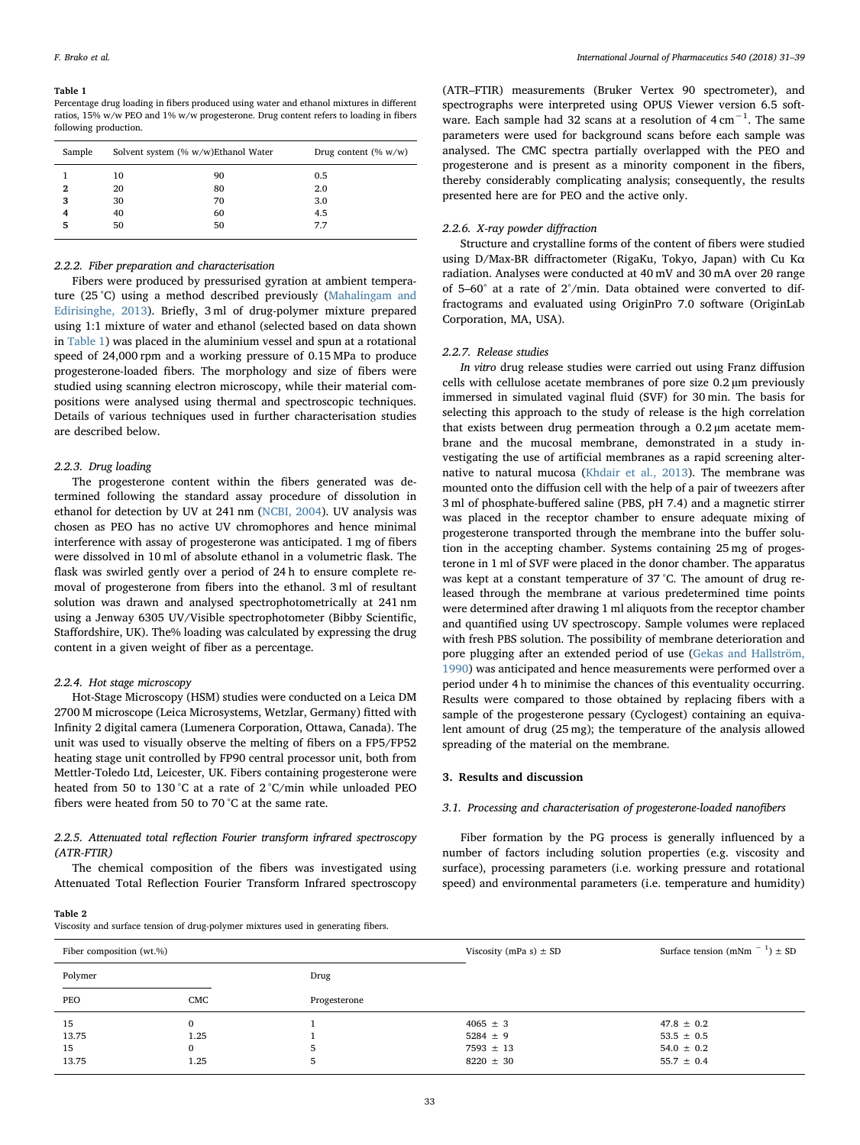### <span id="page-2-1"></span>Table 1

Percentage drug loading in fibers produced using water and ethanol mixtures in different ratios, 15% w/w PEO and 1% w/w progesterone. Drug content refers to loading in fibers following production.

| Sample       | Solvent system (% w/w)Ethanol Water |    | Drug content $(\% w/w)$ |
|--------------|-------------------------------------|----|-------------------------|
|              | 10                                  | 90 | 0.5                     |
| $\mathbf{2}$ | 20                                  | 80 | 2.0                     |
| 3            | 30                                  | 70 | 3.0                     |
| 4            | 40                                  | 60 | 4.5                     |
| 5            | 50                                  | 50 | 7.7                     |
|              |                                     |    |                         |

### 2.2.2. Fiber preparation and characterisation

Fibers were produced by pressurised gyration at ambient temperature (25 °C) using a method described previously ([Mahalingam and](#page-7-6) [Edirisinghe, 2013](#page-7-6)). Briefly, 3 ml of drug-polymer mixture prepared using 1:1 mixture of water and ethanol (selected based on data shown in [Table 1\)](#page-2-1) was placed in the aluminium vessel and spun at a rotational speed of 24,000 rpm and a working pressure of 0.15 MPa to produce progesterone-loaded fibers. The morphology and size of fibers were studied using scanning electron microscopy, while their material compositions were analysed using thermal and spectroscopic techniques. Details of various techniques used in further characterisation studies are described below.

### 2.2.3. Drug loading

The progesterone content within the fibers generated was determined following the standard assay procedure of dissolution in ethanol for detection by UV at 241 nm ([NCBI, 2004\)](#page-8-6). UV analysis was chosen as PEO has no active UV chromophores and hence minimal interference with assay of progesterone was anticipated. 1 mg of fibers were dissolved in 10 ml of absolute ethanol in a volumetric flask. The flask was swirled gently over a period of 24 h to ensure complete removal of progesterone from fibers into the ethanol. 3 ml of resultant solution was drawn and analysed spectrophotometrically at 241 nm using a Jenway 6305 UV/Visible spectrophotometer (Bibby Scientific, Staffordshire, UK). The% loading was calculated by expressing the drug content in a given weight of fiber as a percentage.

### 2.2.4. Hot stage microscopy

Hot-Stage Microscopy (HSM) studies were conducted on a Leica DM 2700 M microscope (Leica Microsystems, Wetzlar, Germany) fitted with Infinity 2 digital camera (Lumenera Corporation, Ottawa, Canada). The unit was used to visually observe the melting of fibers on a FP5/FP52 heating stage unit controlled by FP90 central processor unit, both from Mettler-Toledo Ltd, Leicester, UK. Fibers containing progesterone were heated from 50 to 130 °C at a rate of 2 °C/min while unloaded PEO fibers were heated from 50 to 70 °C at the same rate.

### 2.2.5. Attenuated total reflection Fourier transform infrared spectroscopy (ATR-FTIR)

The chemical composition of the fibers was investigated using Attenuated Total Reflection Fourier Transform Infrared spectroscopy

(ATR–FTIR) measurements (Bruker Vertex 90 spectrometer), and spectrographs were interpreted using OPUS Viewer version 6.5 software. Each sample had 32 scans at a resolution of  $4 \text{ cm}^{-1}$ . The same parameters were used for background scans before each sample was analysed. The CMC spectra partially overlapped with the PEO and progesterone and is present as a minority component in the fibers, thereby considerably complicating analysis; consequently, the results presented here are for PEO and the active only.

### 2.2.6. X-ray powder diffraction

Structure and crystalline forms of the content of fibers were studied using D/Max-BR diffractometer (RigaKu, Tokyo, Japan) with Cu Kα radiation. Analyses were conducted at 40 mV and 30 mA over 2θ range of 5–60° at a rate of 2°/min. Data obtained were converted to diffractograms and evaluated using OriginPro 7.0 software (OriginLab Corporation, MA, USA).

### 2.2.7. Release studies

In vitro drug release studies were carried out using Franz diffusion cells with cellulose acetate membranes of pore size 0.2 µm previously immersed in simulated vaginal fluid (SVF) for 30 min. The basis for selecting this approach to the study of release is the high correlation that exists between drug permeation through a 0.2 µm acetate membrane and the mucosal membrane, demonstrated in a study investigating the use of artificial membranes as a rapid screening alternative to natural mucosa ([Khdair et al., 2013\)](#page-7-11). The membrane was mounted onto the diffusion cell with the help of a pair of tweezers after 3 ml of phosphate-buffered saline (PBS, pH 7.4) and a magnetic stirrer was placed in the receptor chamber to ensure adequate mixing of progesterone transported through the membrane into the buffer solution in the accepting chamber. Systems containing 25 mg of progesterone in 1 ml of SVF were placed in the donor chamber. The apparatus was kept at a constant temperature of 37 °C. The amount of drug released through the membrane at various predetermined time points were determined after drawing 1 ml aliquots from the receptor chamber and quantified using UV spectroscopy. Sample volumes were replaced with fresh PBS solution. The possibility of membrane deterioration and pore plugging after an extended period of use [\(Gekas and Hallström,](#page-7-12) [1990\)](#page-7-12) was anticipated and hence measurements were performed over a period under 4 h to minimise the chances of this eventuality occurring. Results were compared to those obtained by replacing fibers with a sample of the progesterone pessary (Cyclogest) containing an equivalent amount of drug (25 mg); the temperature of the analysis allowed spreading of the material on the membrane.

### 3. Results and discussion

### 3.1. Processing and characterisation of progesterone-loaded nanofibers

Fiber formation by the PG process is generally influenced by a number of factors including solution properties (e.g. viscosity and surface), processing parameters (i.e. working pressure and rotational speed) and environmental parameters (i.e. temperature and humidity)

### <span id="page-2-0"></span>Table 2

Viscosity and surface tension of drug-polymer mixtures used in generating fibers.

| Fiber composition (wt.%)   |              |              | Viscosity (mPa s) $\pm$ SD                                     | Surface tension (mNm $^{-1}$ ) $\pm$ SD                              |
|----------------------------|--------------|--------------|----------------------------------------------------------------|----------------------------------------------------------------------|
| Polymer                    |              | Drug         |                                                                |                                                                      |
| PEO                        | CMC          | Progesterone |                                                                |                                                                      |
| 15<br>13.75<br>15<br>13.75 | 1.25<br>1.25 | 5            | $4065 \pm 3$<br>$5284 \pm 9$<br>$7593 \pm 13$<br>$8220 \pm 30$ | $47.8 \pm 0.2$<br>$53.5 \pm 0.5$<br>$54.0 \pm 0.2$<br>$55.7 \pm 0.4$ |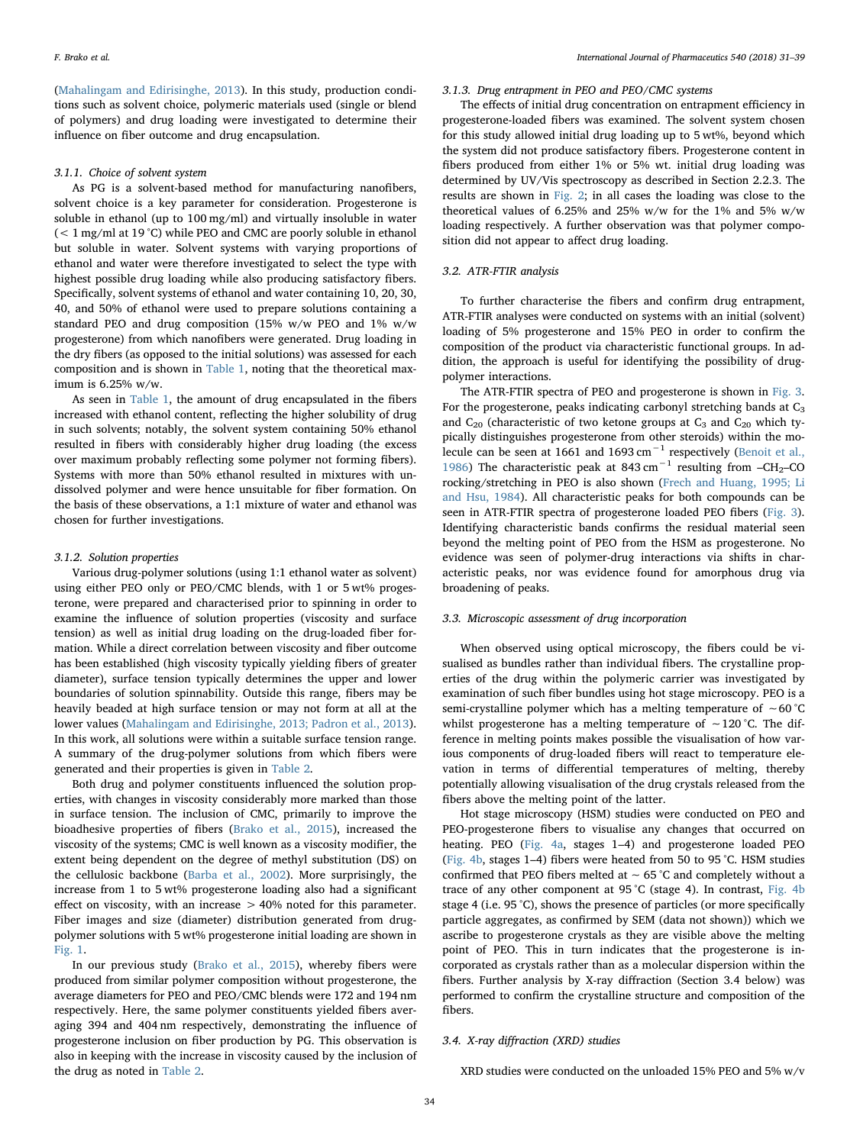([Mahalingam and Edirisinghe, 2013\)](#page-7-6). In this study, production conditions such as solvent choice, polymeric materials used (single or blend of polymers) and drug loading were investigated to determine their influence on fiber outcome and drug encapsulation.

### 3.1.1. Choice of solvent system

As PG is a solvent-based method for manufacturing nanofibers, solvent choice is a key parameter for consideration. Progesterone is soluble in ethanol (up to 100 mg/ml) and virtually insoluble in water  $(< 1 \,\text{mg/ml}$  at 19 °C) while PEO and CMC are poorly soluble in ethanol but soluble in water. Solvent systems with varying proportions of ethanol and water were therefore investigated to select the type with highest possible drug loading while also producing satisfactory fibers. Specifically, solvent systems of ethanol and water containing 10, 20, 30, 40, and 50% of ethanol were used to prepare solutions containing a standard PEO and drug composition (15% w/w PEO and 1% w/w progesterone) from which nanofibers were generated. Drug loading in the dry fibers (as opposed to the initial solutions) was assessed for each composition and is shown in [Table 1,](#page-2-1) noting that the theoretical maximum is 6.25% w/w.

As seen in [Table 1](#page-2-1), the amount of drug encapsulated in the fibers increased with ethanol content, reflecting the higher solubility of drug in such solvents; notably, the solvent system containing 50% ethanol resulted in fibers with considerably higher drug loading (the excess over maximum probably reflecting some polymer not forming fibers). Systems with more than 50% ethanol resulted in mixtures with undissolved polymer and were hence unsuitable for fiber formation. On the basis of these observations, a 1:1 mixture of water and ethanol was chosen for further investigations.

### 3.1.2. Solution properties

Various drug-polymer solutions (using 1:1 ethanol water as solvent) using either PEO only or PEO/CMC blends, with 1 or 5 wt% progesterone, were prepared and characterised prior to spinning in order to examine the influence of solution properties (viscosity and surface tension) as well as initial drug loading on the drug-loaded fiber formation. While a direct correlation between viscosity and fiber outcome has been established (high viscosity typically yielding fibers of greater diameter), surface tension typically determines the upper and lower boundaries of solution spinnability. Outside this range, fibers may be heavily beaded at high surface tension or may not form at all at the lower values [\(Mahalingam and Edirisinghe, 2013; Padron et al., 2013](#page-7-6)). In this work, all solutions were within a suitable surface tension range. A summary of the drug-polymer solutions from which fibers were generated and their properties is given in [Table 2.](#page-2-0)

Both drug and polymer constituents influenced the solution properties, with changes in viscosity considerably more marked than those in surface tension. The inclusion of CMC, primarily to improve the bioadhesive properties of fibers ([Brako et al., 2015](#page-7-10)), increased the viscosity of the systems; CMC is well known as a viscosity modifier, the extent being dependent on the degree of methyl substitution (DS) on the cellulosic backbone [\(Barba et al., 2002](#page-7-13)). More surprisingly, the increase from 1 to 5 wt% progesterone loading also had a significant effect on viscosity, with an increase > 40% noted for this parameter. Fiber images and size (diameter) distribution generated from drugpolymer solutions with 5 wt% progesterone initial loading are shown in [Fig. 1.](#page-4-0)

In our previous study ([Brako et al., 2015\)](#page-7-10), whereby fibers were produced from similar polymer composition without progesterone, the average diameters for PEO and PEO/CMC blends were 172 and 194 nm respectively. Here, the same polymer constituents yielded fibers averaging 394 and 404 nm respectively, demonstrating the influence of progesterone inclusion on fiber production by PG. This observation is also in keeping with the increase in viscosity caused by the inclusion of the drug as noted in [Table 2](#page-2-0).

### 3.1.3. Drug entrapment in PEO and PEO/CMC systems

The effects of initial drug concentration on entrapment efficiency in progesterone-loaded fibers was examined. The solvent system chosen for this study allowed initial drug loading up to 5 wt%, beyond which the system did not produce satisfactory fibers. Progesterone content in fibers produced from either 1% or 5% wt. initial drug loading was determined by UV/Vis spectroscopy as described in Section 2.2.3. The results are shown in [Fig. 2;](#page-4-1) in all cases the loading was close to the theoretical values of 6.25% and 25% w/w for the 1% and 5% w/w loading respectively. A further observation was that polymer composition did not appear to affect drug loading.

### 3.2. ATR-FTIR analysis

To further characterise the fibers and confirm drug entrapment, ATR-FTIR analyses were conducted on systems with an initial (solvent) loading of 5% progesterone and 15% PEO in order to confirm the composition of the product via characteristic functional groups. In addition, the approach is useful for identifying the possibility of drugpolymer interactions.

The ATR-FTIR spectra of PEO and progesterone is shown in [Fig. 3](#page-4-2). For the progesterone, peaks indicating carbonyl stretching bands at C<sub>3</sub> and  $C_{20}$  (characteristic of two ketone groups at  $C_3$  and  $C_{20}$  which typically distinguishes progesterone from other steroids) within the molecule can be seen at 1661 and 1693 cm−<sup>1</sup> respectively ([Benoit et al.,](#page-7-14) [1986\)](#page-7-14) The characteristic peak at 843 cm<sup>-1</sup> resulting from -CH<sub>2</sub>-CO rocking/stretching in PEO is also shown [\(Frech and Huang, 1995; Li](#page-7-15) [and Hsu, 1984](#page-7-15)). All characteristic peaks for both compounds can be seen in ATR-FTIR spectra of progesterone loaded PEO fibers ([Fig. 3](#page-4-2)). Identifying characteristic bands confirms the residual material seen beyond the melting point of PEO from the HSM as progesterone. No evidence was seen of polymer-drug interactions via shifts in characteristic peaks, nor was evidence found for amorphous drug via broadening of peaks.

### 3.3. Microscopic assessment of drug incorporation

When observed using optical microscopy, the fibers could be visualised as bundles rather than individual fibers. The crystalline properties of the drug within the polymeric carrier was investigated by examination of such fiber bundles using hot stage microscopy. PEO is a semi-crystalline polymer which has a melting temperature of ∼60 °C whilst progesterone has a melting temperature of ∼120 °C. The difference in melting points makes possible the visualisation of how various components of drug-loaded fibers will react to temperature elevation in terms of differential temperatures of melting, thereby potentially allowing visualisation of the drug crystals released from the fibers above the melting point of the latter.

Hot stage microscopy (HSM) studies were conducted on PEO and PEO-progesterone fibers to visualise any changes that occurred on heating. PEO [\(Fig. 4a](#page-5-0), stages 1–4) and progesterone loaded PEO ([Fig. 4b](#page-5-1), stages 1–4) fibers were heated from 50 to 95 °C. HSM studies confirmed that PEO fibers melted at ∼ 65 °C and completely without a trace of any other component at 95 °C (stage 4). In contrast, [Fig. 4b](#page-5-1) stage 4 (i.e. 95 °C), shows the presence of particles (or more specifically particle aggregates, as confirmed by SEM (data not shown)) which we ascribe to progesterone crystals as they are visible above the melting point of PEO. This in turn indicates that the progesterone is incorporated as crystals rather than as a molecular dispersion within the fibers. Further analysis by X-ray diffraction (Section 3.4 below) was performed to confirm the crystalline structure and composition of the fibers.

### 3.4. X-ray diffraction (XRD) studies

XRD studies were conducted on the unloaded 15% PEO and 5% w/v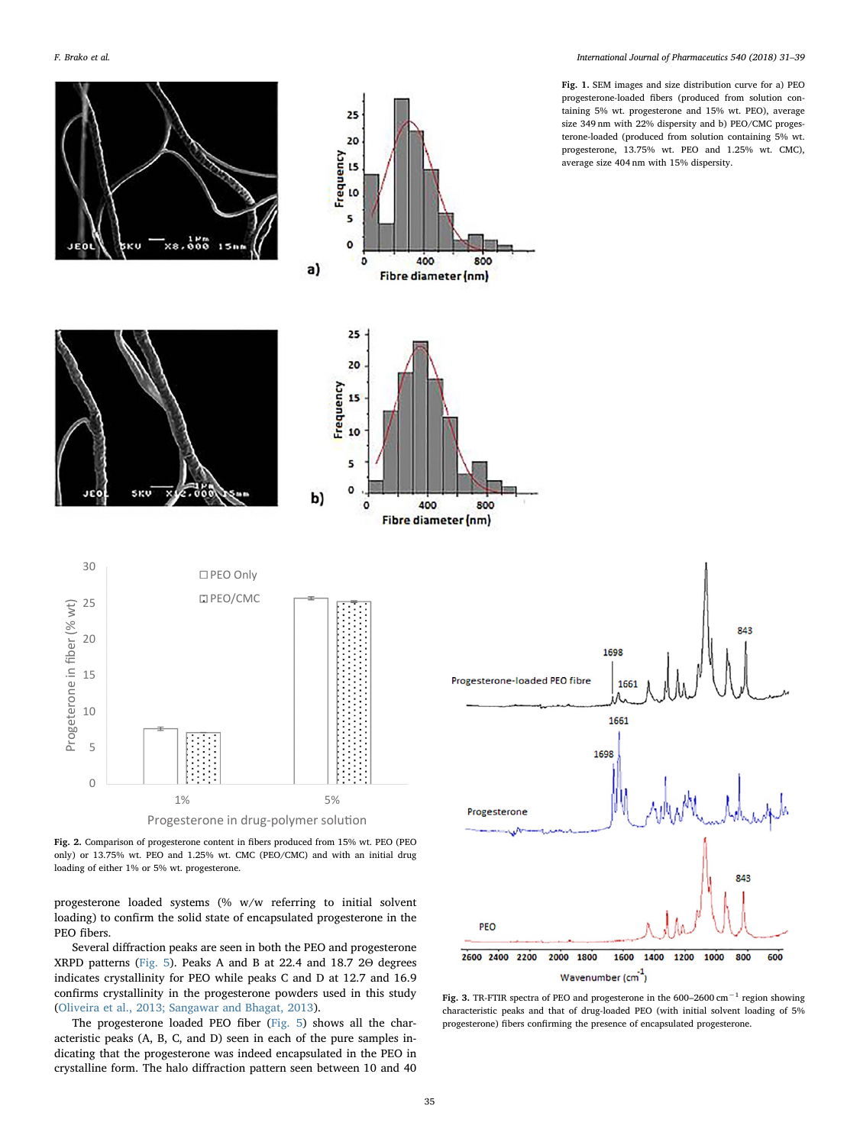<span id="page-4-0"></span>

Fig. 1. SEM images and size distribution curve for a) PEO progesterone-loaded fibers (produced from solution containing 5% wt. progesterone and 15% wt. PEO), average size 349 nm with 22% dispersity and b) PEO/CMC progesterone-loaded (produced from solution containing 5% wt. progesterone, 13.75% wt. PEO and 1.25% wt. CMC), average size 404 nm with 15% dispersity.

<span id="page-4-1"></span>Fig. 2. Comparison of progesterone content in fibers produced from 15% wt. PEO (PEO only) or 13.75% wt. PEO and 1.25% wt. CMC (PEO/CMC) and with an initial drug loading of either 1% or 5% wt. progesterone.

progesterone loaded systems (% w/w referring to initial solvent loading) to confirm the solid state of encapsulated progesterone in the PEO fibers.

Several diffraction peaks are seen in both the PEO and progesterone XRPD patterns [\(Fig. 5\)](#page-6-0). Peaks A and B at 22.4 and 18.7 2Θ degrees indicates crystallinity for PEO while peaks C and D at 12.7 and 16.9 confirms crystallinity in the progesterone powders used in this study ([Oliveira et al., 2013; Sangawar and Bhagat, 2013](#page-8-7)).

The progesterone loaded PEO fiber ([Fig. 5\)](#page-6-0) shows all the characteristic peaks (A, B, C, and D) seen in each of the pure samples indicating that the progesterone was indeed encapsulated in the PEO in crystalline form. The halo diffraction pattern seen between 10 and 40

<span id="page-4-2"></span>

Fig. 3. TR-FTIR spectra of PEO and progesterone in the 600–2600 cm−<sup>1</sup> region showing characteristic peaks and that of drug-loaded PEO (with initial solvent loading of 5% progesterone) fibers confirming the presence of encapsulated progesterone.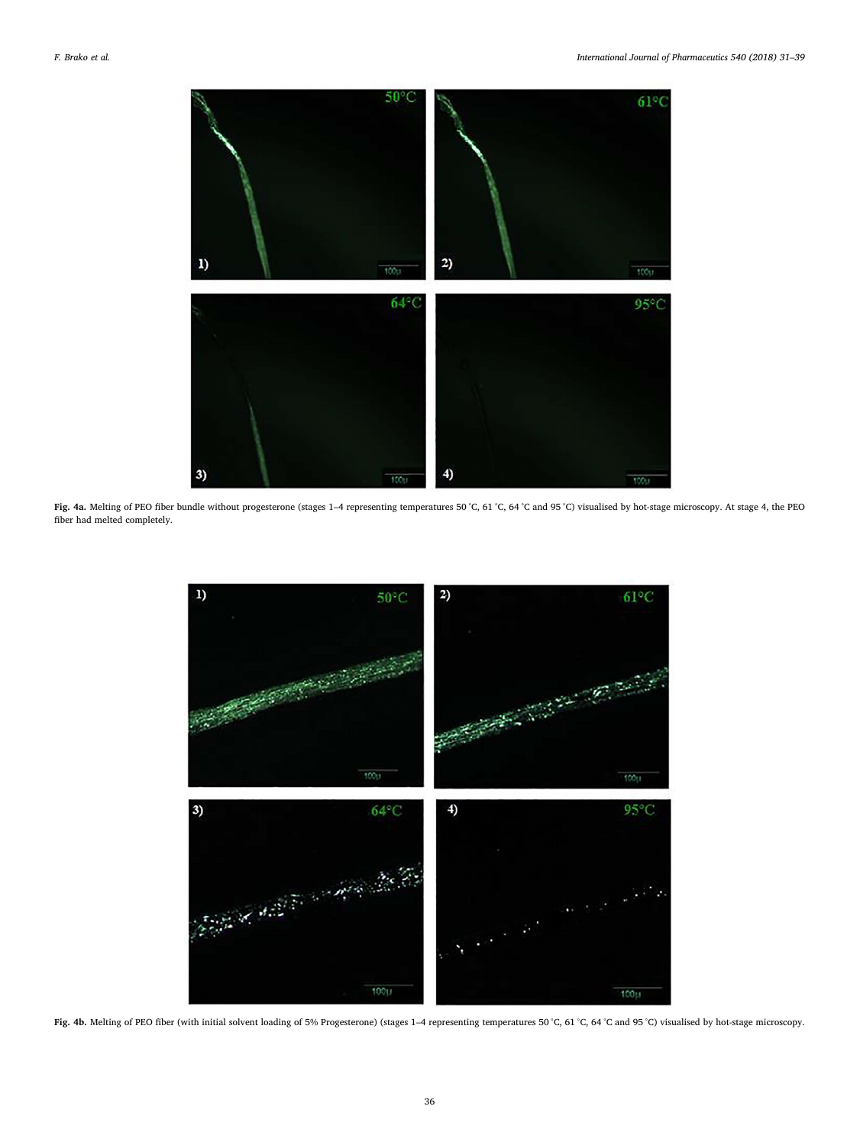<span id="page-5-0"></span>

<span id="page-5-1"></span>Fig. 4a. Melting of PEO fiber bundle without progesterone (stages 1–4 representing temperatures 50 °C, 61 °C, 64 °C and 95 °C) visualised by hot-stage microscopy. At stage 4, the PEO fiber had melted completely.



Fig. 4b. Melting of PEO fiber (with initial solvent loading of 5% Progesterone) (stages 1-4 representing temperatures 50 °C, 61 °C, 64 °C and 95 °C) visualised by hot-stage microscopy.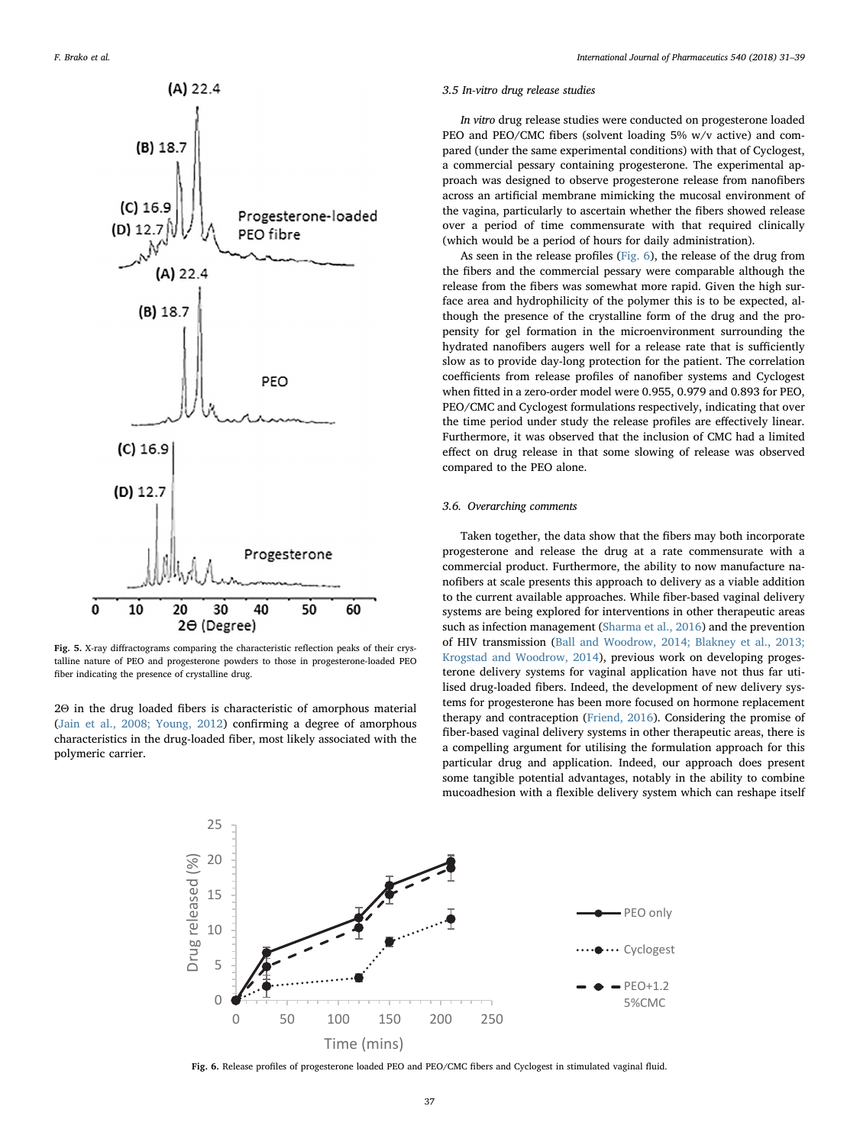<span id="page-6-0"></span>

Fig. 5. X-ray diffractograms comparing the characteristic reflection peaks of their crystalline nature of PEO and progesterone powders to those in progesterone-loaded PEO fiber indicating the presence of crystalline drug.

<span id="page-6-1"></span>2Θ in the drug loaded fibers is characteristic of amorphous material ([Jain et al., 2008; Young, 2012\)](#page-7-16) confirming a degree of amorphous characteristics in the drug-loaded fiber, most likely associated with the polymeric carrier.

### 3.5 In-vitro drug release studies

In vitro drug release studies were conducted on progesterone loaded PEO and PEO/CMC fibers (solvent loading 5% w/v active) and compared (under the same experimental conditions) with that of Cyclogest, a commercial pessary containing progesterone. The experimental approach was designed to observe progesterone release from nanofibers across an artificial membrane mimicking the mucosal environment of the vagina, particularly to ascertain whether the fibers showed release over a period of time commensurate with that required clinically (which would be a period of hours for daily administration).

As seen in the release profiles [\(Fig. 6](#page-6-1)), the release of the drug from the fibers and the commercial pessary were comparable although the release from the fibers was somewhat more rapid. Given the high surface area and hydrophilicity of the polymer this is to be expected, although the presence of the crystalline form of the drug and the propensity for gel formation in the microenvironment surrounding the hydrated nanofibers augers well for a release rate that is sufficiently slow as to provide day-long protection for the patient. The correlation coefficients from release profiles of nanofiber systems and Cyclogest when fitted in a zero-order model were 0.955, 0.979 and 0.893 for PEO, PEO/CMC and Cyclogest formulations respectively, indicating that over the time period under study the release profiles are effectively linear. Furthermore, it was observed that the inclusion of CMC had a limited effect on drug release in that some slowing of release was observed compared to the PEO alone.

### 3.6. Overarching comments

Taken together, the data show that the fibers may both incorporate progesterone and release the drug at a rate commensurate with a commercial product. Furthermore, the ability to now manufacture nanofibers at scale presents this approach to delivery as a viable addition to the current available approaches. While fiber-based vaginal delivery systems are being explored for interventions in other therapeutic areas such as infection management ([Sharma et al., 2016](#page-8-8)) and the prevention of HIV transmission ([Ball and Woodrow, 2014; Blakney et al., 2013;](#page-7-17) [Krogstad and Woodrow, 2014\)](#page-7-17), previous work on developing progesterone delivery systems for vaginal application have not thus far utilised drug-loaded fibers. Indeed, the development of new delivery systems for progesterone has been more focused on hormone replacement therapy and contraception ([Friend, 2016\)](#page-7-18). Considering the promise of fiber-based vaginal delivery systems in other therapeutic areas, there is a compelling argument for utilising the formulation approach for this particular drug and application. Indeed, our approach does present some tangible potential advantages, notably in the ability to combine mucoadhesion with a flexible delivery system which can reshape itself



Fig. 6. Release profiles of progesterone loaded PEO and PEO/CMC fibers and Cyclogest in stimulated vaginal fluid.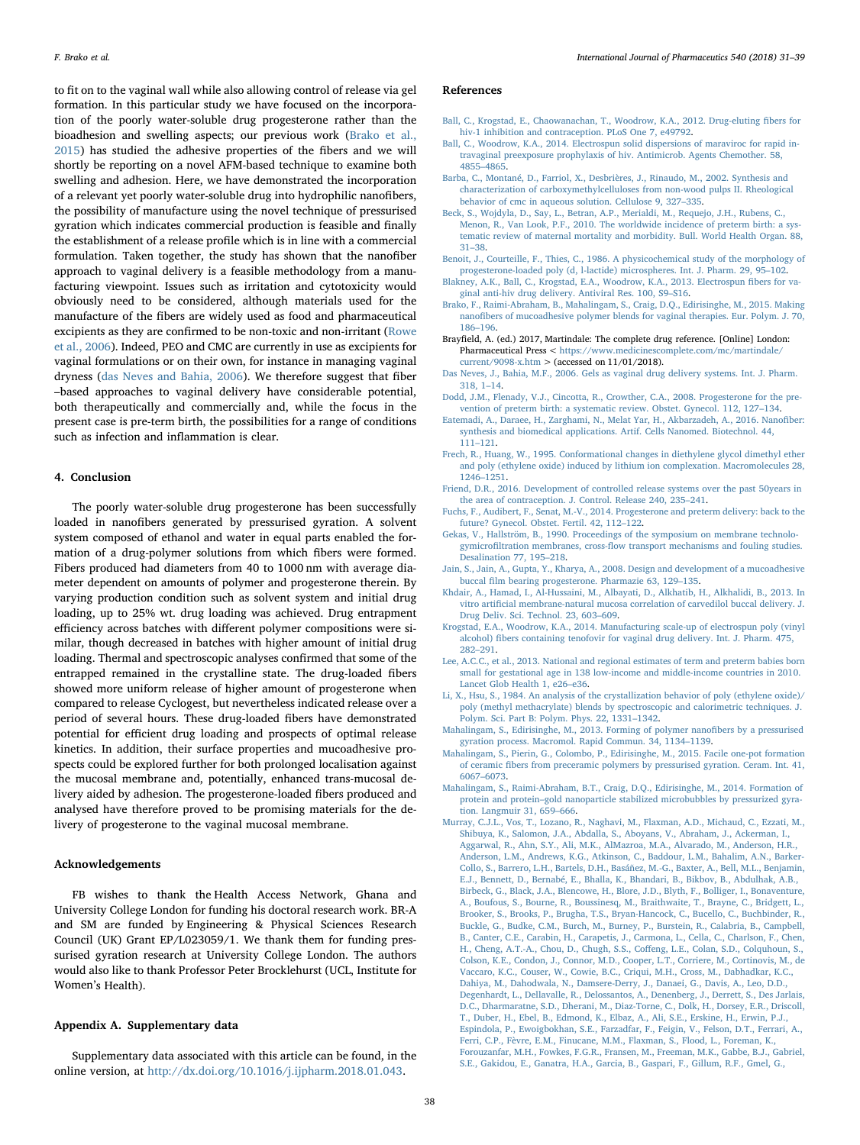to fit on to the vaginal wall while also allowing control of release via gel formation. In this particular study we have focused on the incorporation of the poorly water-soluble drug progesterone rather than the bioadhesion and swelling aspects; our previous work [\(Brako et al.,](#page-7-10) [2015\)](#page-7-10) has studied the adhesive properties of the fibers and we will shortly be reporting on a novel AFM-based technique to examine both swelling and adhesion. Here, we have demonstrated the incorporation of a relevant yet poorly water-soluble drug into hydrophilic nanofibers, the possibility of manufacture using the novel technique of pressurised gyration which indicates commercial production is feasible and finally the establishment of a release profile which is in line with a commercial formulation. Taken together, the study has shown that the nanofiber approach to vaginal delivery is a feasible methodology from a manufacturing viewpoint. Issues such as irritation and cytotoxicity would obviously need to be considered, although materials used for the manufacture of the fibers are widely used as food and pharmaceutical excipients as they are confirmed to be non-toxic and non-irritant ([Rowe](#page-8-9) [et al., 2006\)](#page-8-9). Indeed, PEO and CMC are currently in use as excipients for vaginal formulations or on their own, for instance in managing vaginal dryness [\(das Neves and Bahia, 2006](#page-7-19)). We therefore suggest that fiber –based approaches to vaginal delivery have considerable potential, both therapeutically and commercially and, while the focus in the present case is pre-term birth, the possibilities for a range of conditions such as infection and inflammation is clear.

### 4. Conclusion

The poorly water-soluble drug progesterone has been successfully loaded in nanofibers generated by pressurised gyration. A solvent system composed of ethanol and water in equal parts enabled the formation of a drug-polymer solutions from which fibers were formed. Fibers produced had diameters from 40 to 1000 nm with average diameter dependent on amounts of polymer and progesterone therein. By varying production condition such as solvent system and initial drug loading, up to 25% wt. drug loading was achieved. Drug entrapment efficiency across batches with different polymer compositions were similar, though decreased in batches with higher amount of initial drug loading. Thermal and spectroscopic analyses confirmed that some of the entrapped remained in the crystalline state. The drug-loaded fibers showed more uniform release of higher amount of progesterone when compared to release Cyclogest, but nevertheless indicated release over a period of several hours. These drug-loaded fibers have demonstrated potential for efficient drug loading and prospects of optimal release kinetics. In addition, their surface properties and mucoadhesive prospects could be explored further for both prolonged localisation against the mucosal membrane and, potentially, enhanced trans-mucosal delivery aided by adhesion. The progesterone-loaded fibers produced and analysed have therefore proved to be promising materials for the delivery of progesterone to the vaginal mucosal membrane.

### Acknowledgements

FB wishes to thank the Health Access Network, Ghana and University College London for funding his doctoral research work. BR-A and SM are funded by Engineering & Physical Sciences Research Council (UK) Grant EP/L023059/1. We thank them for funding pressurised gyration research at University College London. The authors would also like to thank Professor Peter Brocklehurst (UCL, Institute for Women's Health).

### Appendix A. Supplementary data

Supplementary data associated with this article can be found, in the online version, at <http://dx.doi.org/10.1016/j.ijpharm.2018.01.043>.

### References

- <span id="page-7-5"></span>[Ball, C., Krogstad, E., Chaowanachan, T., Woodrow, K.A., 2012. Drug-eluting](http://refhub.elsevier.com/S0378-5173(18)30062-0/h0005) fibers for [hiv-1 inhibition and contraception. PLoS One 7, e49792.](http://refhub.elsevier.com/S0378-5173(18)30062-0/h0005)
- <span id="page-7-17"></span>[Ball, C., Woodrow, K.A., 2014. Electrospun solid dispersions of maraviroc for rapid in](http://refhub.elsevier.com/S0378-5173(18)30062-0/h0010)[travaginal preexposure prophylaxis of hiv. Antimicrob. Agents Chemother. 58,](http://refhub.elsevier.com/S0378-5173(18)30062-0/h0010) 4855–[4865](http://refhub.elsevier.com/S0378-5173(18)30062-0/h0010).
- <span id="page-7-13"></span>[Barba, C., Montané, D., Farriol, X., Desbrières, J., Rinaudo, M., 2002. Synthesis and](http://refhub.elsevier.com/S0378-5173(18)30062-0/h0015) [characterization of carboxymethylcelluloses from non-wood pulps II. Rheological](http://refhub.elsevier.com/S0378-5173(18)30062-0/h0015) [behavior of cmc in aqueous solution. Cellulose 9, 327](http://refhub.elsevier.com/S0378-5173(18)30062-0/h0015)–335.
- <span id="page-7-1"></span>[Beck, S., Wojdyla, D., Say, L., Betran, A.P., Merialdi, M., Requejo, J.H., Rubens, C.,](http://refhub.elsevier.com/S0378-5173(18)30062-0/h0020) [Menon, R., Van Look, P.F., 2010. The worldwide incidence of preterm birth: a sys](http://refhub.elsevier.com/S0378-5173(18)30062-0/h0020)[tematic review of maternal mortality and morbidity. Bull. World Health Organ. 88,](http://refhub.elsevier.com/S0378-5173(18)30062-0/h0020) 31–[38](http://refhub.elsevier.com/S0378-5173(18)30062-0/h0020).
- <span id="page-7-14"></span>[Benoit, J., Courteille, F., Thies, C., 1986. A physicochemical study of the morphology of](http://refhub.elsevier.com/S0378-5173(18)30062-0/h0025) [progesterone-loaded poly \(d, l-lactide\) microspheres. Int. J. Pharm. 29, 95](http://refhub.elsevier.com/S0378-5173(18)30062-0/h0025)–102.
- [Blakney, A.K., Ball, C., Krogstad, E.A., Woodrow, K.A., 2013. Electrospun](http://refhub.elsevier.com/S0378-5173(18)30062-0/h0030) fibers for va[ginal anti-hiv drug delivery. Antiviral Res. 100, S9](http://refhub.elsevier.com/S0378-5173(18)30062-0/h0030)–S16.
- <span id="page-7-10"></span>[Brako, F., Raimi-Abraham, B., Mahalingam, S., Craig, D.Q., Edirisinghe, M., 2015. Making](http://refhub.elsevier.com/S0378-5173(18)30062-0/h0035) nanofi[bers of mucoadhesive polymer blends for vaginal therapies. Eur. Polym. J. 70,](http://refhub.elsevier.com/S0378-5173(18)30062-0/h0035) 186–[196](http://refhub.elsevier.com/S0378-5173(18)30062-0/h0035).
- <span id="page-7-2"></span>Brayfield, A. (ed.) 2017, Martindale: The complete drug reference. [Online] London: Pharmaceutical Press < [https://www.medicinescomplete.com/mc/martindale/](https://www.medicinescomplete.com/mc/martindale/current/9098-x.htm) [current/9098-x.htm](https://www.medicinescomplete.com/mc/martindale/current/9098-x.htm) > (accessed on 11/01/2018).
- <span id="page-7-19"></span>[Das Neves, J., Bahia, M.F., 2006. Gels as vaginal drug delivery systems. Int. J. Pharm.](http://refhub.elsevier.com/S0378-5173(18)30062-0/h0045) [318, 1](http://refhub.elsevier.com/S0378-5173(18)30062-0/h0045)–14.
- <span id="page-7-4"></span>[Dodd, J.M., Flenady, V.J., Cincotta, R., Crowther, C.A., 2008. Progesterone for the pre](http://refhub.elsevier.com/S0378-5173(18)30062-0/h0050)[vention of preterm birth: a systematic review. Obstet. Gynecol. 112, 127](http://refhub.elsevier.com/S0378-5173(18)30062-0/h0050)–134.
- <span id="page-7-8"></span>[Eatemadi, A., Daraee, H., Zarghami, N., Melat Yar, H., Akbarzadeh, A., 2016. Nano](http://refhub.elsevier.com/S0378-5173(18)30062-0/h0055)fiber: [synthesis and biomedical applications. Artif. Cells Nanomed. Biotechnol. 44,](http://refhub.elsevier.com/S0378-5173(18)30062-0/h0055) 111–[121](http://refhub.elsevier.com/S0378-5173(18)30062-0/h0055).
- <span id="page-7-15"></span>[Frech, R., Huang, W., 1995. Conformational changes in diethylene glycol dimethyl ether](http://refhub.elsevier.com/S0378-5173(18)30062-0/h0060) [and poly \(ethylene oxide\) induced by lithium ion complexation. Macromolecules 28,](http://refhub.elsevier.com/S0378-5173(18)30062-0/h0060) 1246–[1251](http://refhub.elsevier.com/S0378-5173(18)30062-0/h0060).
- <span id="page-7-18"></span>[Friend, D.R., 2016. Development of controlled release systems over the past 50years in](http://refhub.elsevier.com/S0378-5173(18)30062-0/h0065) [the area of contraception. J. Control. Release 240, 235](http://refhub.elsevier.com/S0378-5173(18)30062-0/h0065)–241.
- <span id="page-7-3"></span>[Fuchs, F., Audibert, F., Senat, M.-V., 2014. Progesterone and preterm delivery: back to the](http://refhub.elsevier.com/S0378-5173(18)30062-0/h0070) [future? Gynecol. Obstet. Fertil. 42, 112](http://refhub.elsevier.com/S0378-5173(18)30062-0/h0070)–122.
- <span id="page-7-12"></span>[Gekas, V., Hallström, B., 1990. Proceedings of the symposium on membrane technolo](http://refhub.elsevier.com/S0378-5173(18)30062-0/h0075)gymicrofiltration membranes, cross-fl[ow transport mechanisms and fouling studies.](http://refhub.elsevier.com/S0378-5173(18)30062-0/h0075) [Desalination 77, 195](http://refhub.elsevier.com/S0378-5173(18)30062-0/h0075)–218.
- <span id="page-7-16"></span>[Jain, S., Jain, A., Gupta, Y., Kharya, A., 2008. Design and development of a mucoadhesive](http://refhub.elsevier.com/S0378-5173(18)30062-0/h0080) buccal fi[lm bearing progesterone. Pharmazie 63, 129](http://refhub.elsevier.com/S0378-5173(18)30062-0/h0080)–135.
- <span id="page-7-11"></span>[Khdair, A., Hamad, I., Al-Hussaini, M., Albayati, D., Alkhatib, H., Alkhalidi, B., 2013. In](http://refhub.elsevier.com/S0378-5173(18)30062-0/h0085) vitro artifi[cial membrane-natural mucosa correlation of carvedilol buccal delivery. J.](http://refhub.elsevier.com/S0378-5173(18)30062-0/h0085) [Drug Deliv. Sci. Technol. 23, 603](http://refhub.elsevier.com/S0378-5173(18)30062-0/h0085)–609.
- [Krogstad, E.A., Woodrow, K.A., 2014. Manufacturing scale-up of electrospun poly \(vinyl](http://refhub.elsevier.com/S0378-5173(18)30062-0/h0090) alcohol) fi[bers containing tenofovir for vaginal drug delivery. Int. J. Pharm. 475,](http://refhub.elsevier.com/S0378-5173(18)30062-0/h0090) 282–[291](http://refhub.elsevier.com/S0378-5173(18)30062-0/h0090).
- [Lee, A.C.C., et al., 2013. National and regional estimates of term and preterm babies born](http://refhub.elsevier.com/S0378-5173(18)30062-0/h0095) [small for gestational age in 138 low-income and middle-income countries in 2010.](http://refhub.elsevier.com/S0378-5173(18)30062-0/h0095) [Lancet Glob Health 1, e26](http://refhub.elsevier.com/S0378-5173(18)30062-0/h0095)–e36.
- [Li, X., Hsu, S., 1984. An analysis of the crystallization behavior of poly \(ethylene oxide\)/](http://refhub.elsevier.com/S0378-5173(18)30062-0/h0100) [poly \(methyl methacrylate\) blends by spectroscopic and calorimetric techniques. J.](http://refhub.elsevier.com/S0378-5173(18)30062-0/h0100) [Polym. Sci. Part B: Polym. Phys. 22, 1331](http://refhub.elsevier.com/S0378-5173(18)30062-0/h0100)–1342.
- <span id="page-7-6"></span>[Mahalingam, S., Edirisinghe, M., 2013. Forming of polymer nano](http://refhub.elsevier.com/S0378-5173(18)30062-0/h0105)fibers by a pressurised [gyration process. Macromol. Rapid Commun. 34, 1134](http://refhub.elsevier.com/S0378-5173(18)30062-0/h0105)–1139.
- <span id="page-7-9"></span>[Mahalingam, S., Pierin, G., Colombo, P., Edirisinghe, M., 2015. Facile one-pot formation](http://refhub.elsevier.com/S0378-5173(18)30062-0/h0110) of ceramic fi[bers from preceramic polymers by pressurised gyration. Ceram. Int. 41,](http://refhub.elsevier.com/S0378-5173(18)30062-0/h0110) 6067–[6073](http://refhub.elsevier.com/S0378-5173(18)30062-0/h0110).
- <span id="page-7-7"></span>[Mahalingam, S., Raimi-Abraham, B.T., Craig, D.Q., Edirisinghe, M., 2014. Formation of](http://refhub.elsevier.com/S0378-5173(18)30062-0/h0115) protein and protein–[gold nanoparticle stabilized microbubbles by pressurized gyra](http://refhub.elsevier.com/S0378-5173(18)30062-0/h0115)[tion. Langmuir 31, 659](http://refhub.elsevier.com/S0378-5173(18)30062-0/h0115)–666.
- <span id="page-7-0"></span>[Murray, C.J.L., Vos, T., Lozano, R., Naghavi, M., Flaxman, A.D., Michaud, C., Ezzati, M.,](http://refhub.elsevier.com/S0378-5173(18)30062-0/h0120) [Shibuya, K., Salomon, J.A., Abdalla, S., Aboyans, V., Abraham, J., Ackerman, I.,](http://refhub.elsevier.com/S0378-5173(18)30062-0/h0120) [Aggarwal, R., Ahn, S.Y., Ali, M.K., AlMazroa, M.A., Alvarado, M., Anderson, H.R.,](http://refhub.elsevier.com/S0378-5173(18)30062-0/h0120) [Anderson, L.M., Andrews, K.G., Atkinson, C., Baddour, L.M., Bahalim, A.N., Barker-](http://refhub.elsevier.com/S0378-5173(18)30062-0/h0120)[Collo, S., Barrero, L.H., Bartels, D.H., Basáñez, M.-G., Baxter, A., Bell, M.L., Benjamin,](http://refhub.elsevier.com/S0378-5173(18)30062-0/h0120) [E.J., Bennett, D., Bernabé, E., Bhalla, K., Bhandari, B., Bikbov, B., Abdulhak, A.B.,](http://refhub.elsevier.com/S0378-5173(18)30062-0/h0120) [Birbeck, G., Black, J.A., Blencowe, H., Blore, J.D., Blyth, F., Bolliger, I., Bonaventure,](http://refhub.elsevier.com/S0378-5173(18)30062-0/h0120) [A., Boufous, S., Bourne, R., Boussinesq, M., Braithwaite, T., Brayne, C., Bridgett, L.,](http://refhub.elsevier.com/S0378-5173(18)30062-0/h0120) [Brooker, S., Brooks, P., Brugha, T.S., Bryan-Hancock, C., Bucello, C., Buchbinder, R.,](http://refhub.elsevier.com/S0378-5173(18)30062-0/h0120) [Buckle, G., Budke, C.M., Burch, M., Burney, P., Burstein, R., Calabria, B., Campbell,](http://refhub.elsevier.com/S0378-5173(18)30062-0/h0120) [B., Canter, C.E., Carabin, H., Carapetis, J., Carmona, L., Cella, C., Charlson, F., Chen,](http://refhub.elsevier.com/S0378-5173(18)30062-0/h0120) [H., Cheng, A.T.-A., Chou, D., Chugh, S.S., Co](http://refhub.elsevier.com/S0378-5173(18)30062-0/h0120)ffeng, L.E., Colan, S.D., Colquhoun, S., [Colson, K.E., Condon, J., Connor, M.D., Cooper, L.T., Corriere, M., Cortinovis, M., de](http://refhub.elsevier.com/S0378-5173(18)30062-0/h0120) [Vaccaro, K.C., Couser, W., Cowie, B.C., Criqui, M.H., Cross, M., Dabhadkar, K.C.,](http://refhub.elsevier.com/S0378-5173(18)30062-0/h0120) [Dahiya, M., Dahodwala, N., Damsere-Derry, J., Danaei, G., Davis, A., Leo, D.D.,](http://refhub.elsevier.com/S0378-5173(18)30062-0/h0120) [Degenhardt, L., Dellavalle, R., Delossantos, A., Denenberg, J., Derrett, S., Des Jarlais,](http://refhub.elsevier.com/S0378-5173(18)30062-0/h0120) [D.C., Dharmaratne, S.D., Dherani, M., Diaz-Torne, C., Dolk, H., Dorsey, E.R., Driscoll,](http://refhub.elsevier.com/S0378-5173(18)30062-0/h0120) [T., Duber, H., Ebel, B., Edmond, K., Elbaz, A., Ali, S.E., Erskine, H., Erwin, P.J.,](http://refhub.elsevier.com/S0378-5173(18)30062-0/h0120) [Espindola, P., Ewoigbokhan, S.E., Farzadfar, F., Feigin, V., Felson, D.T., Ferrari, A.,](http://refhub.elsevier.com/S0378-5173(18)30062-0/h0120) [Ferri, C.P., Fèvre, E.M., Finucane, M.M., Flaxman, S., Flood, L., Foreman, K.,](http://refhub.elsevier.com/S0378-5173(18)30062-0/h0120) [Forouzanfar, M.H., Fowkes, F.G.R., Fransen, M., Freeman, M.K., Gabbe, B.J., Gabriel,](http://refhub.elsevier.com/S0378-5173(18)30062-0/h0120) [S.E., Gakidou, E., Ganatra, H.A., Garcia, B., Gaspari, F., Gillum, R.F., Gmel, G.,](http://refhub.elsevier.com/S0378-5173(18)30062-0/h0120)